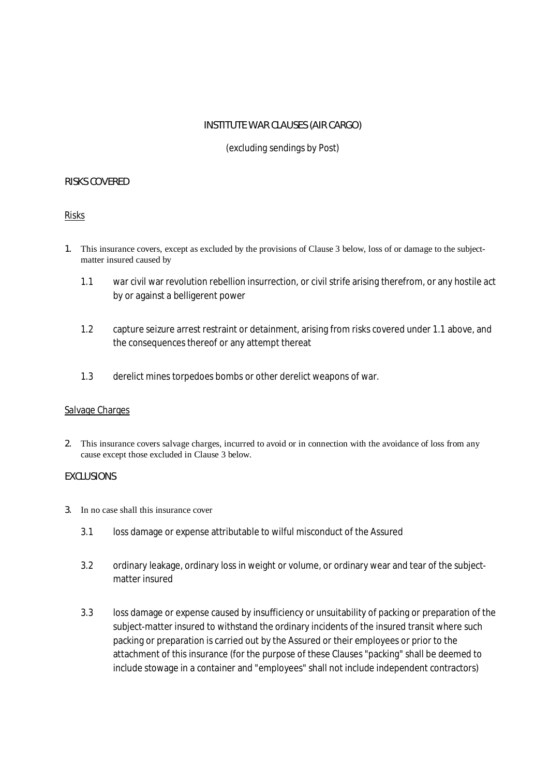# **INSTITUTE WAR CLAUSES (AIR CARGO)**

(excluding sendings by Post)

### **RISKS COVERED**

Risks

- **1.** This insurance covers, except as excluded by the provisions of Clause 3 below, loss of or damage to the subjectmatter insured caused by
	- 1.1 war civil war revolution rebellion insurrection, or civil strife arising therefrom, or any hostile act by or against a belligerent power
	- 1.2 capture seizure arrest restraint or detainment, arising from risks covered under 1.1 above, and the consequences thereof or any attempt thereat
	- 1.3 derelict mines torpedoes bombs or other derelict weapons of war.

### Salvage Charges

**2.** This insurance covers salvage charges, incurred to avoid or in connection with the avoidance of loss from any cause except those excluded in Clause 3 below.

### **EXCLUSIONS**

#### **3.** In no case shall this insurance cover

- 3.1 loss damage or expense attributable to wilful misconduct of the Assured
- 3.2 ordinary leakage, ordinary loss in weight or volume, or ordinary wear and tear of the subjectmatter insured
- 3.3 loss damage or expense caused by insufficiency or unsuitability of packing or preparation of the subject-matter insured to withstand the ordinary incidents of the insured transit where such packing or preparation is carried out by the Assured or their employees or prior to the attachment of this insurance (for the purpose of these Clauses "packing" shall be deemed to include stowage in a container and "employees" shall not include independent contractors)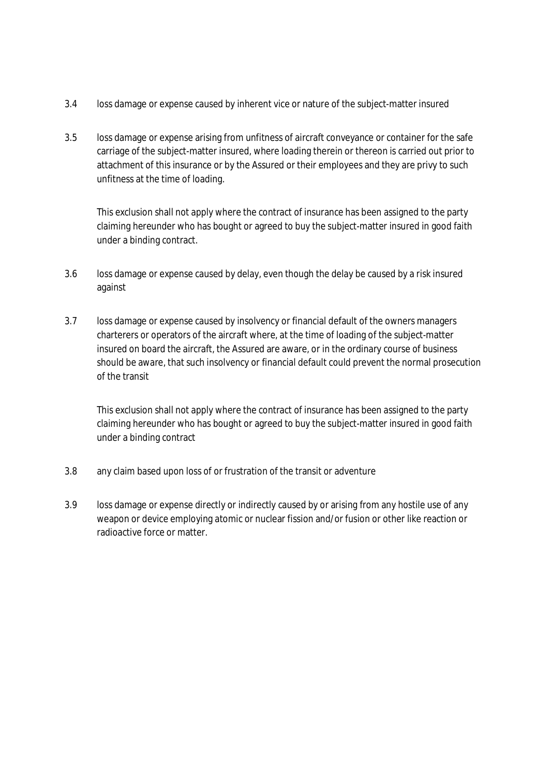- 3.4 loss damage or expense caused by inherent vice or nature of the subject-matter insured
- 3.5 loss damage or expense arising from unfitness of aircraft conveyance or container for the safe carriage of the subject-matter insured, where loading therein or thereon is carried out prior to attachment of this insurance or by the Assured or their employees and they are privy to such unfitness at the time of loading.

This exclusion shall not apply where the contract of insurance has been assigned to the party claiming hereunder who has bought or agreed to buy the subject-matter insured in good faith under a binding contract.

- 3.6 loss damage or expense caused by delay, even though the delay be caused by a risk insured against
- 3.7 loss damage or expense caused by insolvency or financial default of the owners managers charterers or operators of the aircraft where, at the time of loading of the subject-matter insured on board the aircraft, the Assured are aware, or in the ordinary course of business should be aware, that such insolvency or financial default could prevent the normal prosecution of the transit

This exclusion shall not apply where the contract of insurance has been assigned to the party claiming hereunder who has bought or agreed to buy the subject-matter insured in good faith under a binding contract

- 3.8 any claim based upon loss of or frustration of the transit or adventure
- 3.9 loss damage or expense directly or indirectly caused by or arising from any hostile use of any weapon or device employing atomic or nuclear fission and/or fusion or other like reaction or radioactive force or matter.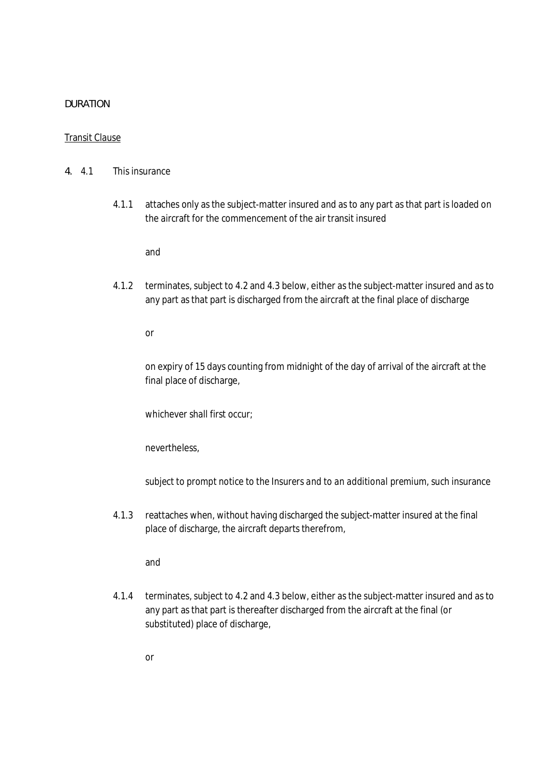#### **DURATION**

#### Transit Clause

- **4.** 4.1 This insurance
	- 4.1.1 attaches only as the subject-matter insured and as to any part as that part is loaded on the aircraft for the commencement of the air transit insured

and

4.1.2 terminates, subject to 4.2 and 4.3 below, either as the subject-matter insured and as to any part as that part is discharged from the aircraft at the final place of discharge

or

on expiry of 15 days counting from midnight of the day of arrival of the aircraft at the final place of discharge,

whichever shall first occur;

nevertheless,

*subject to prompt notice to the Insurers and to an additional premium,* such insurance

4.1.3 reattaches when, without having discharged the subject-matter insured at the final place of discharge, the aircraft departs therefrom,

and

4.1.4 terminates, subject to 4.2 and 4.3 below, either as the subject-matter insured and as to any part as that part is thereafter discharged from the aircraft at the final (or substituted) place of discharge,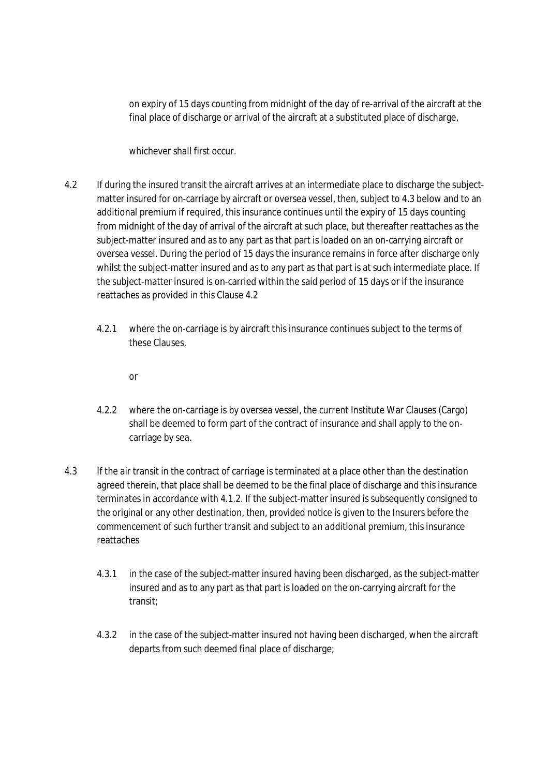on expiry of 15 days counting from midnight of the day of re-arrival of the aircraft at the final place of discharge or arrival of the aircraft at a substituted place of discharge,

whichever shall first occur.

- 4.2 If during the insured transit the aircraft arrives at an intermediate place to discharge the subjectmatter insured for on-carriage by aircraft or oversea vessel, then, subject to 4.3 below and to an additional premium if required, this insurance continues until the expiry of 15 days counting from midnight of the day of arrival of the aircraft at such place, but thereafter reattaches as the subject-matter insured and as to any part as that part is loaded on an on-carrying aircraft or oversea vessel. During the period of 15 days the insurance remains in force after discharge only whilst the subject-matter insured and as to any part as that part is at such intermediate place. If the subject-matter insured is on-carried within the said period of 15 days or if the insurance reattaches as provided in this Clause 4.2
	- 4.2.1 where the on-carriage is by aircraft this insurance continues subject to the terms of these Clauses,
		- or
	- 4.2.2 where the on-carriage is by oversea vessel, the current Institute War Clauses (Cargo) shall be deemed to form part of the contract of insurance and shall apply to the oncarriage by sea.
- 4.3 If the air transit in the contract of carriage is terminated at a place other than the destination agreed therein, that place shall be deemed to be the final place of discharge and this insurance terminates in accordance with 4.1.2. If the subject-matter insured is subsequently consigned to the original or any other destination, then, *provided notice is given to the Insurers before the commencement of such further transit and subject to an additional premium,* this insurance reattaches
	- 4.3.1 in the case of the subject-matter insured having been discharged, as the subject-matter insured and as to any part as that part is loaded on the on-carrying aircraft for the transit;
	- 4.3.2 in the case of the subject-matter insured not having been discharged, when the aircraft departs from such deemed final place of discharge;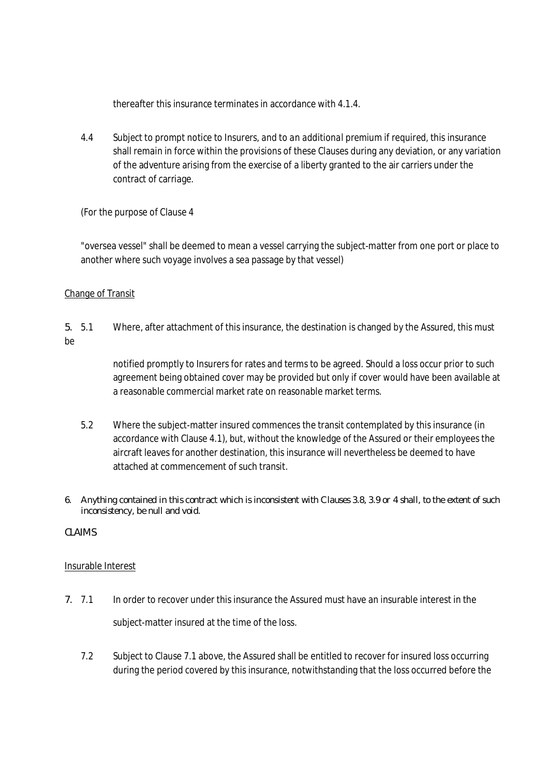thereafter this insurance terminates in accordance with 4.1.4.

4.4 *Subject to prompt notice to Insurers, and to an additional premium if required,* this insurance shall remain in force within the provisions of these Clauses during any deviation, or any variation of the adventure arising from the exercise of a liberty granted to the air carriers under the contract of carriage.

(For the purpose of Clause 4

"oversea vessel" shall be deemed to mean a vessel carrying the subject-matter from one port or place to another where such voyage involves a sea passage by that vessel)

## Change of Transit

**5.** 5.1 Where, after attachment of this insurance, the destination is changed by the Assured, *this must be*

> notified promptly to Insurers for rates and terms to be agreed. Should a loss occur prior to such agreement being obtained cover may be provided but only if cover would have been available at a reasonable commercial market rate on reasonable market terms.

5.2 Where the subject-matter insured commences the transit contemplated by this insurance (in accordance with Clause 4.1), but, without the knowledge of the Assured or their employees the aircraft leaves for another destination, this insurance will nevertheless be deemed to have attached at commencement of such transit.

## 6. Anything contained in this contract which is inconsistent with Clauses 3.8, 3.9 or 4 shall, to the extent of such **inconsistency, be null and void.**

**CLAIMS**

## Insurable Interest

- **7.** 7.1 In order to recover under this insurance the Assured must have an insurable interest in the subject-matter insured at the time of the loss.
	- 7.2 Subject to Clause 7.1 above, the Assured shall be entitled to recover for insured loss occurring during the period covered by this insurance, notwithstanding that the loss occurred before the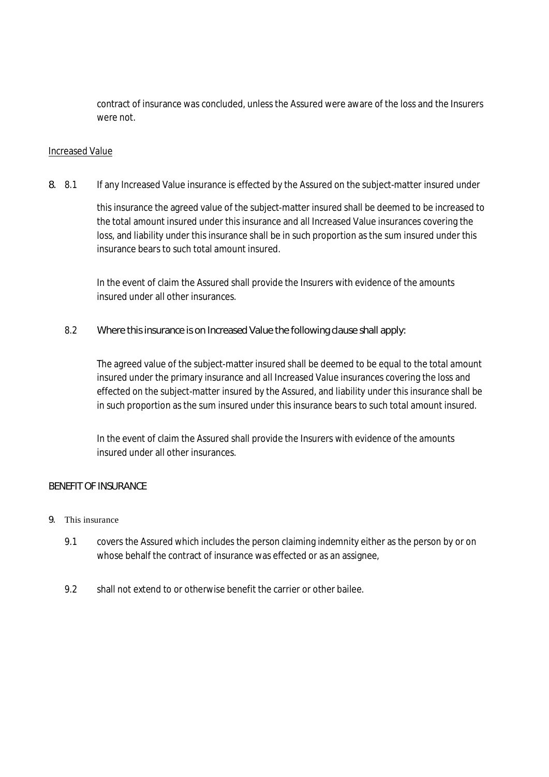contract of insurance was concluded, unless the Assured were aware of the loss and the Insurers were not.

## Increased Value

**8.** 8.1 If any Increased Value insurance is effected by the Assured on the subject-matter insured under

this insurance the agreed value of the subject-matter insured shall be deemed to be increased to the total amount insured under this insurance and all Increased Value insurances covering the loss, and liability under this insurance shall be in such proportion as the sum insured under this insurance bears to such total amount insured.

In the event of claim the Assured shall provide the Insurers with evidence of the amounts insured under all other insurances.

8.2 **Where this insurance is on Increased Value the following clause shall apply:**

The agreed value of the subject-matter insured shall be deemed to be equal to the total amount insured under the primary insurance and all Increased Value insurances covering the loss and effected on the subject-matter insured by the Assured, and liability under this insurance shall be in such proportion as the sum insured under this insurance bears to such total amount insured.

In the event of claim the Assured shall provide the Insurers with evidence of the amounts insured under all other insurances.

## **BENEFIT OF INSURANCE**

## **9.** This insurance

- 9.1 covers the Assured which includes the person claiming indemnity either as the person by or on whose behalf the contract of insurance was effected or as an assignee,
- 9.2 shall not extend to or otherwise benefit the carrier or other bailee.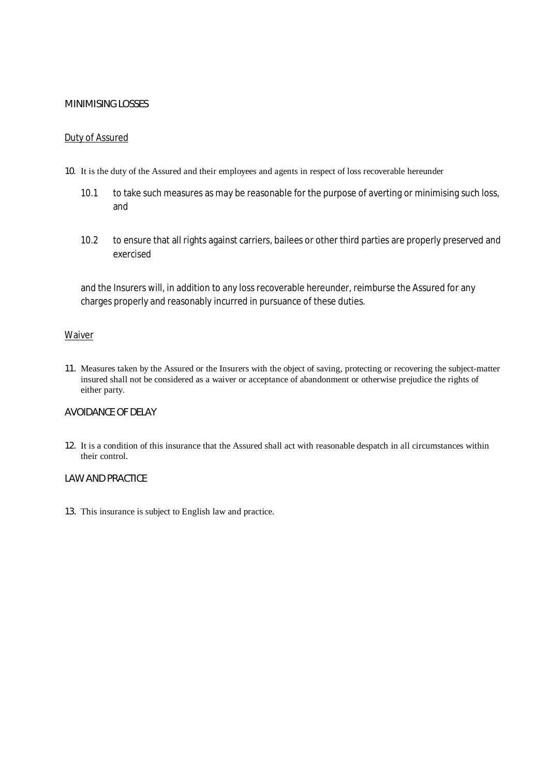#### **MINIMISING LOSSES**

#### Duty of Assured

#### **10**. It is the duty of the Assured and their employees and agents in respect of loss recoverable hereunder

- 10.1 to take such measures as may be reasonable for the purpose of averting or minimising such loss, and
- 10.2 to ensure that all rights against carriers, bailees or other third parties are properly preserved and exercised

and the Insurers will, in addition to any loss recoverable hereunder, reimburse the Assured for any charges properly and reasonably incurred in pursuance of these duties.

#### Waiver

**11.** Measures taken by the Assured or the Insurers with the object of saving, protecting or recovering the subject-matter insured shall not be considered as a waiver or acceptance of abandonment or otherwise prejudice the rights of either party.

### **AVOIDANCE OF DELAY**

**12.** It is a condition of this insurance that the Assured shall act with reasonable despatch in all circumstances within their control.

#### **LAW AND PRACTICE**

**13.** This insurance is subject to English law and practice.